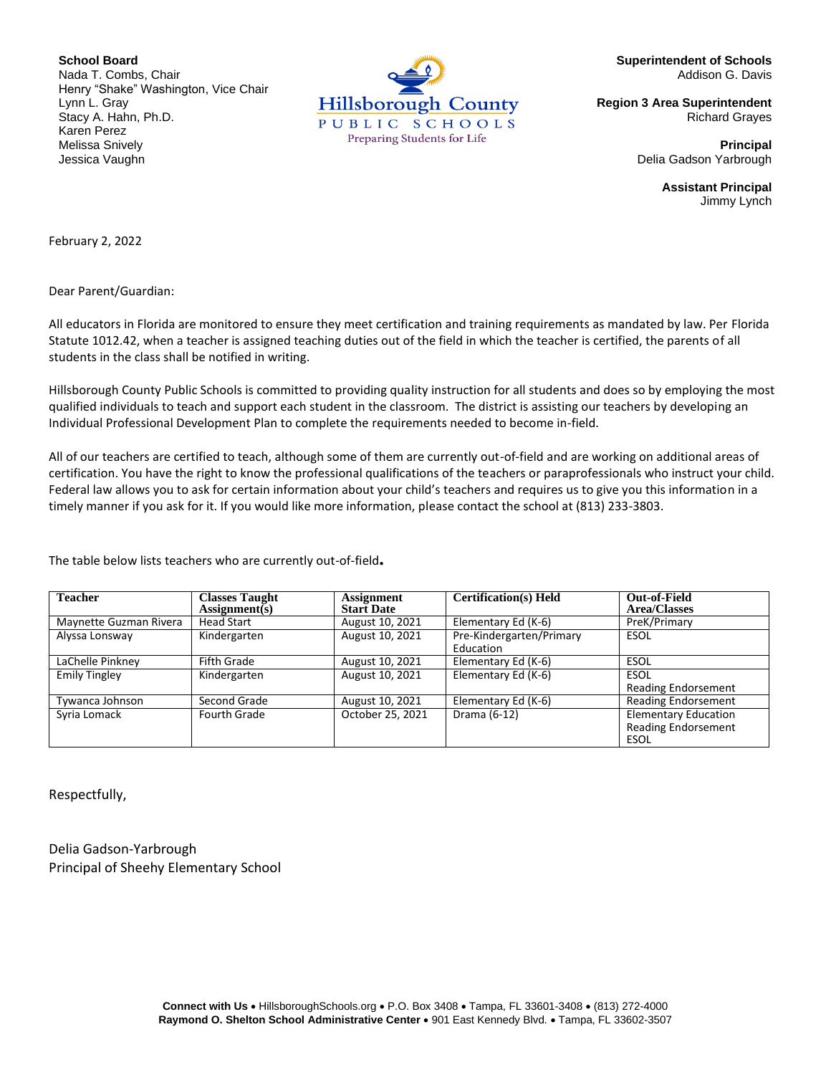**School Board** Nada T. Combs, Chair Henry "Shake" Washington, Vice Chair Lynn L. Gray Stacy A. Hahn, Ph.D. Karen Perez Melissa Snively Jessica Vaughn



**Superintendent of Schools** Addison G. Davis

**Region 3 Area Superintendent** Richard Grayes

> **Principal** Delia Gadson Yarbrough

> > **Assistant Principal** Jimmy Lynch

February 2, 2022

Dear Parent/Guardian:

All educators in Florida are monitored to ensure they meet certification and training requirements as mandated by law. Per Florida Statute 1012.42, when a teacher is assigned teaching duties out of the field in which the teacher is certified, the parents of all students in the class shall be notified in writing.

Hillsborough County Public Schools is committed to providing quality instruction for all students and does so by employing the most qualified individuals to teach and support each student in the classroom. The district is assisting our teachers by developing an Individual Professional Development Plan to complete the requirements needed to become in-field.

All of our teachers are certified to teach, although some of them are currently out-of-field and are working on additional areas of certification. You have the right to know the professional qualifications of the teachers or paraprofessionals who instruct your child. Federal law allows you to ask for certain information about your child's teachers and requires us to give you this information in a timely manner if you ask for it. If you would like more information, please contact the school at (813) 233-3803.

The table below lists teachers who are currently out-of-field**.**

| <b>Teacher</b>         | <b>Classes Taught</b><br>$\text{Assignment}(s)$ | <b>Assignment</b><br><b>Start Date</b> | <b>Certification(s)</b> Held          | Out-of-Field<br><b>Area/Classes</b>                               |
|------------------------|-------------------------------------------------|----------------------------------------|---------------------------------------|-------------------------------------------------------------------|
| Maynette Guzman Rivera | <b>Head Start</b>                               | August 10, 2021                        | Elementary Ed (K-6)                   | PreK/Primary                                                      |
| Alyssa Lonsway         | Kindergarten                                    | August 10, 2021                        | Pre-Kindergarten/Primary<br>Education | ESOL                                                              |
| LaChelle Pinkney       | <b>Fifth Grade</b>                              | August 10, 2021                        | Elementary Ed (K-6)                   | ESOL                                                              |
| <b>Emily Tingley</b>   | Kindergarten                                    | August 10, 2021                        | Elementary Ed (K-6)                   | ESOL<br><b>Reading Endorsement</b>                                |
| Tywanca Johnson        | Second Grade                                    | August 10, 2021                        | Elementary Ed (K-6)                   | <b>Reading Endorsement</b>                                        |
| Syria Lomack           | Fourth Grade                                    | October 25, 2021                       | Drama (6-12)                          | <b>Elementary Education</b><br><b>Reading Endorsement</b><br>ESOL |

Respectfully,

Delia Gadson-Yarbrough Principal of Sheehy Elementary School